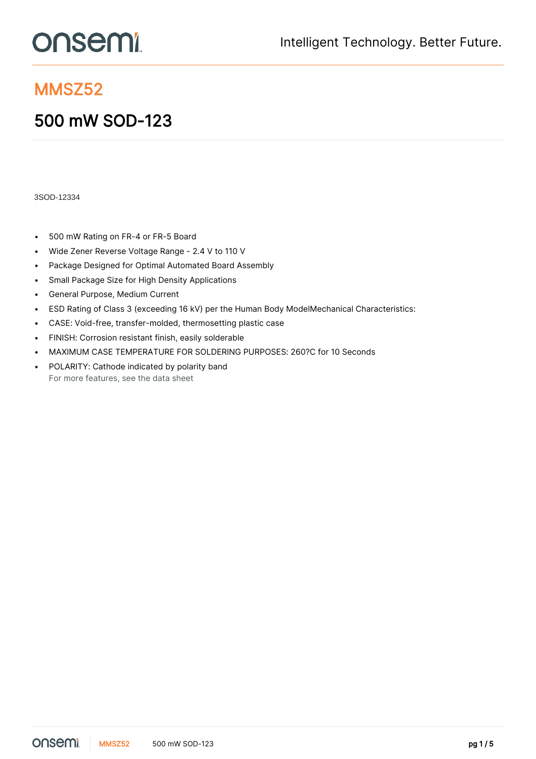# **onsemi**

### MMSZ52

## 500 mW SOD-123

3SOD-12334

- 500 mW Rating on FR-4 or FR-5 Board
- Wide Zener Reverse Voltage Range 2.4 V to 110 V
- Package Designed for Optimal Automated Board Assembly
- Small Package Size for High Density Applications
- General Purpose, Medium Current
- ESD Rating of Class 3 (exceeding 16 kV) per the Human Body ModelMechanical Characteristics:
- CASE: Void-free, transfer-molded, thermosetting plastic case
- FINISH: Corrosion resistant finish, easily solderable
- MAXIMUM CASE TEMPERATURE FOR SOLDERING PURPOSES: 260?C for 10 Seconds
- POLARITY: Cathode indicated by polarity band For more features, see the [data sheet](https://www.onsemi.jp/PowerSolutions/product.do?id=MMSZ52)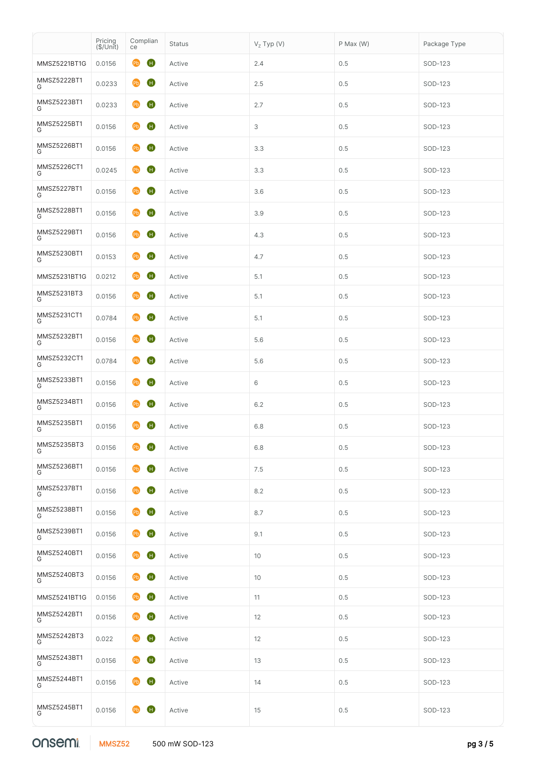|                  | Pricing<br>(\$/Unit) | Complian<br>ce                     | <b>Status</b> | $VZ$ Typ (V) | P Max (W) | Package Type |
|------------------|----------------------|------------------------------------|---------------|--------------|-----------|--------------|
| MMSZ5221BT1G     | 0.0156               | $\mathbf 0$<br>Q <sub>b</sub>      | Active        | 2.4          | 0.5       | SOD-123      |
| MMSZ5222BT1<br>G | 0.0233               | $\mathbf{G}$<br>Pb                 | Active        | 2.5          | 0.5       | SOD-123      |
| MMSZ5223BT1<br>G | 0.0233               | $\mathbf G$<br>Pb                  | Active        | 2.7          | 0.5       | SOD-123      |
| MMSZ5225BT1<br>G | 0.0156               | $\mathbf G$<br>P <sub>b</sub>      | Active        | 3            | 0.5       | SOD-123      |
| MMSZ5226BT1<br>G | 0.0156               | $\mathbf G$<br>P <sub>b</sub>      | Active        | 3.3          | 0.5       | SOD-123      |
| MMSZ5226CT1<br>G | 0.0245               | $\mathbf{G}$<br>P <sub>b</sub>     | Active        | 3.3          | 0.5       | SOD-123      |
| MMSZ5227BT1<br>G | 0.0156               | $\mathbf G$<br>P <sub>b</sub>      | Active        | 3.6          | 0.5       | SOD-123      |
| MMSZ5228BT1<br>G | 0.0156               | $\mathbf G$<br>P <sub>b</sub>      | Active        | 3.9          | 0.5       | SOD-123      |
| MMSZ5229BT1<br>G | 0.0156               | $\mathbf G$<br>P <sub>b</sub>      | Active        | 4.3          | 0.5       | SOD-123      |
| MMSZ5230BT1<br>G | 0.0153               | $\bullet$<br>P <sub>b</sub>        | Active        | 4.7          | 0.5       | SOD-123      |
| MMSZ5231BT1G     | 0.0212               | $\mathbf{G}$<br>P <sub>b</sub>     | Active        | 5.1          | 0.5       | SOD-123      |
| MMSZ5231BT3<br>G | 0.0156               | $\mathbf G$<br>P <sub>b</sub>      | Active        | 5.1          | 0.5       | SOD-123      |
| MMSZ5231CT1<br>G | 0.0784               | $\mathbf G$<br>P <sub>b</sub>      | Active        | 5.1          | 0.5       | SOD-123      |
| MMSZ5232BT1<br>G | 0.0156               | $\mathbf G$<br>P <sub>b</sub>      | Active        | 5.6          | 0.5       | SOD-123      |
| MMSZ5232CT1<br>G | 0.0784               | $\mathbf G$<br>P <sub>b</sub>      | Active        | 5.6          | 0.5       | SOD-123      |
| MMSZ5233BT1<br>G | 0.0156               | $\mathbf G$<br>P <sub>b</sub>      | Active        | 6            | 0.5       | SOD-123      |
| MMSZ5234BT1<br>G | 0.0156               | $\mathbf G$<br>P <sub>b</sub>      | Active        | 6.2          | 0.5       | SOD-123      |
| MMSZ5235BT1<br>G | 0.0156               | $\mathbf G$<br>$\bullet$           | Active        | 6.8          | 0.5       | SOD-123      |
| MMSZ5235BT3<br>G | 0.0156               | $\mathbf 0$<br>$\bullet$           | Active        | 6.8          | $0.5\,$   | SOD-123      |
| MMSZ5236BT1<br>G | 0.0156               | $\mathbf{G}$<br>P <sub>b</sub>     | Active        | 7.5          | 0.5       | SOD-123      |
| MMSZ5237BT1<br>G | 0.0156               | $\mathbf \Theta$<br>P <sub>b</sub> | Active        | 8.2          | 0.5       | SOD-123      |
| MMSZ5238BT1<br>G | 0.0156               | $\bullet$<br>P <sub>b</sub>        | Active        | 8.7          | 0.5       | SOD-123      |
| MMSZ5239BT1<br>G | 0.0156               | $\bullet$<br>P <sub>b</sub>        | Active        | 9.1          | 0.5       | SOD-123      |
| MMSZ5240BT1<br>G | 0.0156               | $\bullet$<br>P <sub>b</sub>        | Active        | 10           | 0.5       | SOD-123      |
| MMSZ5240BT3<br>G | 0.0156               | $\bullet$<br>P <sub>b</sub>        | Active        | 10           | $0.5\,$   | SOD-123      |
| MMSZ5241BT1G     | 0.0156               | $\mathbf G$<br>P <sub>b</sub>      | Active        | 11           | 0.5       | SOD-123      |
| MMSZ5242BT1<br>G | 0.0156               | P <sub>b</sub><br>$\bullet$        | Active        | 12           | 0.5       | SOD-123      |
| MMSZ5242BT3<br>G | 0.022                | $\bullet$<br>$\bullet$             | Active        | 12           | 0.5       | SOD-123      |
| MMSZ5243BT1<br>G | 0.0156               | $\bullet$<br>$\bullet$             | Active        | 13           | 0.5       | SOD-123      |
| MMSZ5244BT1<br>G | 0.0156               | $\mathbf G$<br>$\Theta$            | Active        | 14           | 0.5       | SOD-123      |
| MMSZ5245BT1<br>G | 0.0156               | Pb H                               | Active        | 15           | $0.5\,$   | SOD-123      |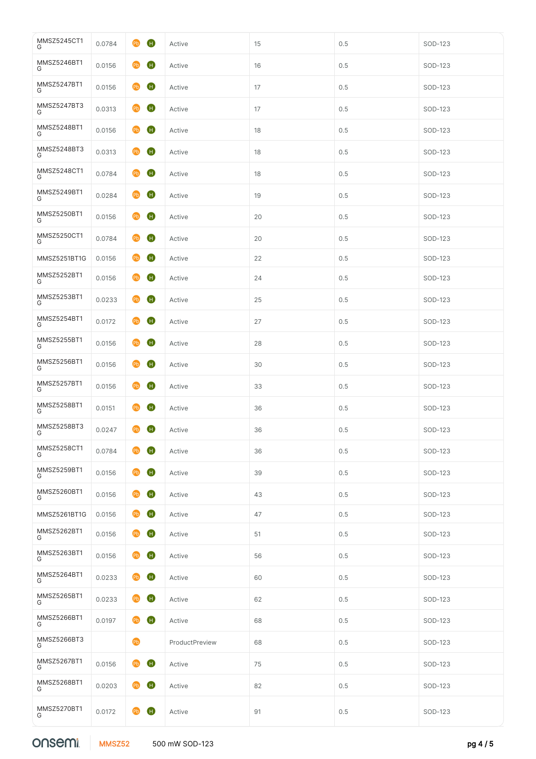#### onsemi

| MMSZ5245CT1<br>G | 0.0784 | $\mathbf G$<br>P <sub>b</sub>  | Active         | 15 | 0.5     | SOD-123 |
|------------------|--------|--------------------------------|----------------|----|---------|---------|
| MMSZ5246BT1<br>G | 0.0156 | $\mathbf G$<br>P <sub>b</sub>  | Active         | 16 | 0.5     | SOD-123 |
| MMSZ5247BT1<br>G | 0.0156 | $\mathbf G$<br>P <sub>b</sub>  | Active         | 17 | $0.5\,$ | SOD-123 |
| MMSZ5247BT3<br>G | 0.0313 | $\mathbf G$<br>P <sub>b</sub>  | Active         | 17 | $0.5\,$ | SOD-123 |
| MMSZ5248BT1<br>G | 0.0156 | $\mathbf G$<br>P <sub>b</sub>  | Active         | 18 | $0.5\,$ | SOD-123 |
| MMSZ5248BT3<br>G | 0.0313 | $\mathbf G$<br>P <sub>b</sub>  | Active         | 18 | $0.5\,$ | SOD-123 |
| MMSZ5248CT1<br>G | 0.0784 | $\mathbf G$<br>P <sub>b</sub>  | Active         | 18 | $0.5\,$ | SOD-123 |
| MMSZ5249BT1<br>G | 0.0284 | $\mathbf G$<br>P <sub>b</sub>  | Active         | 19 | 0.5     | SOD-123 |
| MMSZ5250BT1<br>G | 0.0156 | $\mathbf G$<br>P <sub>b</sub>  | Active         | 20 | 0.5     | SOD-123 |
| MMSZ5250CT1<br>G | 0.0784 | $\mathbf G$<br>P <sub>b</sub>  | Active         | 20 | 0.5     | SOD-123 |
| MMSZ5251BT1G     | 0.0156 | $\mathbf G$<br>P <sub>b</sub>  | Active         | 22 | $0.5\,$ | SOD-123 |
| MMSZ5252BT1<br>G | 0.0156 | $\mathbf G$<br>$\bullet$       | Active         | 24 | $0.5\,$ | SOD-123 |
| MMSZ5253BT1<br>G | 0.0233 | $\mathbf{G}$<br>P <sub>b</sub> | Active         | 25 | 0.5     | SOD-123 |
| MMSZ5254BT1<br>G | 0.0172 | $\mathbf{G}$<br>P <sub>b</sub> | Active         | 27 | 0.5     | SOD-123 |
| MMSZ5255BT1<br>G | 0.0156 | $\mathbf{G}$<br>P <sub>b</sub> | Active         | 28 | 0.5     | SOD-123 |
| MMSZ5256BT1<br>G | 0.0156 | $\mathbf{G}$<br>P <sub>b</sub> | Active         | 30 | 0.5     | SOD-123 |
| MMSZ5257BT1<br>G | 0.0156 | $\mathbf{G}$<br>P <sub>b</sub> | Active         | 33 | 0.5     | SOD-123 |
| MMSZ5258BT1<br>G | 0.0151 | $\mathbf{G}$<br>$\bullet$      | Active         | 36 | 0.5     | SOD-123 |
| MMSZ5258BT3<br>G | 0.0247 | $\mathbf G$<br><b>Pb</b>       | Active         | 36 | 0.5     | SOD-123 |
| MMSZ5258CT1<br>G | 0.0784 | $\bf \bm 0$<br><b>PD</b>       | Active         | 36 | 0.5     | SOD-123 |
| MMSZ5259BT1<br>G | 0.0156 | $\mathbf G$<br><b>Pb</b>       | Active         | 39 | 0.5     | SOD-123 |
| MMSZ5260BT1<br>G | 0.0156 | $\mathbf G$<br><b>Pb</b>       | Active         | 43 | 0.5     | SOD-123 |
| MMSZ5261BT1G     | 0.0156 | $\mathbf G$<br><b>PD</b>       | Active         | 47 | 0.5     | SOD-123 |
| MMSZ5262BT1<br>G | 0.0156 | $\mathbf G$<br><b>PD</b>       | Active         | 51 | $0.5\,$ | SOD-123 |
| MMSZ5263BT1<br>G | 0.0156 | $\mathbf G$<br><b>PD</b>       | Active         | 56 | $0.5\,$ | SOD-123 |
| MMSZ5264BT1<br>G | 0.0233 | $\mathbf G$<br>P <sub>b</sub>  | Active         | 60 | $0.5\,$ | SOD-123 |
| MMSZ5265BT1<br>G | 0.0233 | $\mathbf G$<br>P <sub>b</sub>  | Active         | 62 | $0.5\,$ | SOD-123 |
| MMSZ5266BT1<br>G | 0.0197 | $\mathbf G$<br>P <sub>b</sub>  | Active         | 68 | $0.5\,$ | SOD-123 |
| MMSZ5266BT3<br>G |        | $\mathbf{P}$                   | ProductPreview | 68 | $0.5\,$ | SOD-123 |
| MMSZ5267BT1<br>G | 0.0156 | $\mathbf G$<br>P <sub>b</sub>  | Active         | 75 | $0.5\,$ | SOD-123 |
| MMSZ5268BT1<br>G | 0.0203 | $\mathbf G$<br>P <sub>b</sub>  | Active         | 82 | $0.5\,$ | SOD-123 |
| MMSZ5270BT1<br>G | 0.0172 | $\mathbf G$<br>P <sub>b</sub>  | Active         | 91 | 0.5     | SOD-123 |